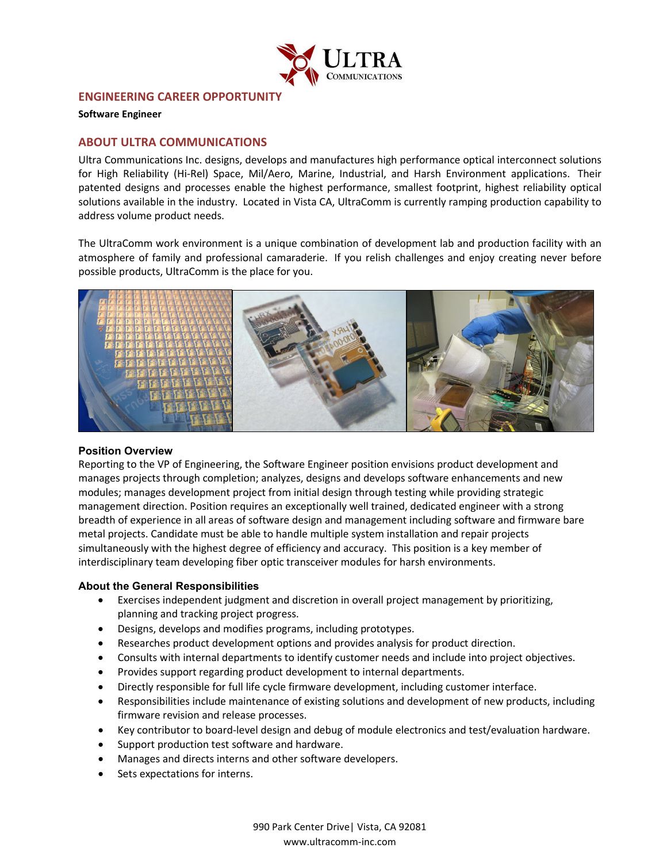

# **ENGINEERING CAREER OPPORTUNITY**

**Software Engineer** 

## **ABOUT ULTRA COMMUNICATIONS**

Ultra Communications Inc. designs, develops and manufactures high performance optical interconnect solutions for High Reliability (Hi-Rel) Space, Mil/Aero, Marine, Industrial, and Harsh Environment applications. Their patented designs and processes enable the highest performance, smallest footprint, highest reliability optical solutions available in the industry. Located in Vista CA, UltraComm is currently ramping production capability to address volume product needs.

The UltraComm work environment is a unique combination of development lab and production facility with an atmosphere of family and professional camaraderie. If you relish challenges and enjoy creating never before possible products, UltraComm is the place for you.



### **Position Overview**

Reporting to the VP of Engineering, the Software Engineer position envisions product development and manages projects through completion; analyzes, designs and develops software enhancements and new modules; manages development project from initial design through testing while providing strategic management direction. Position requires an exceptionally well trained, dedicated engineer with a strong breadth of experience in all areas of software design and management including software and firmware bare metal projects. Candidate must be able to handle multiple system installation and repair projects simultaneously with the highest degree of efficiency and accuracy. This position is a key member of interdisciplinary team developing fiber optic transceiver modules for harsh environments.

### **About the General Responsibilities**

- Exercises independent judgment and discretion in overall project management by prioritizing, planning and tracking project progress.
- Designs, develops and modifies programs, including prototypes.
- Researches product development options and provides analysis for product direction.
- Consults with internal departments to identify customer needs and include into project objectives.
- Provides support regarding product development to internal departments.
- Directly responsible for full life cycle firmware development, including customer interface.
- Responsibilities include maintenance of existing solutions and development of new products, including firmware revision and release processes.
- Key contributor to board-level design and debug of module electronics and test/evaluation hardware.
- Support production test software and hardware.
- Manages and directs interns and other software developers.
- Sets expectations for interns.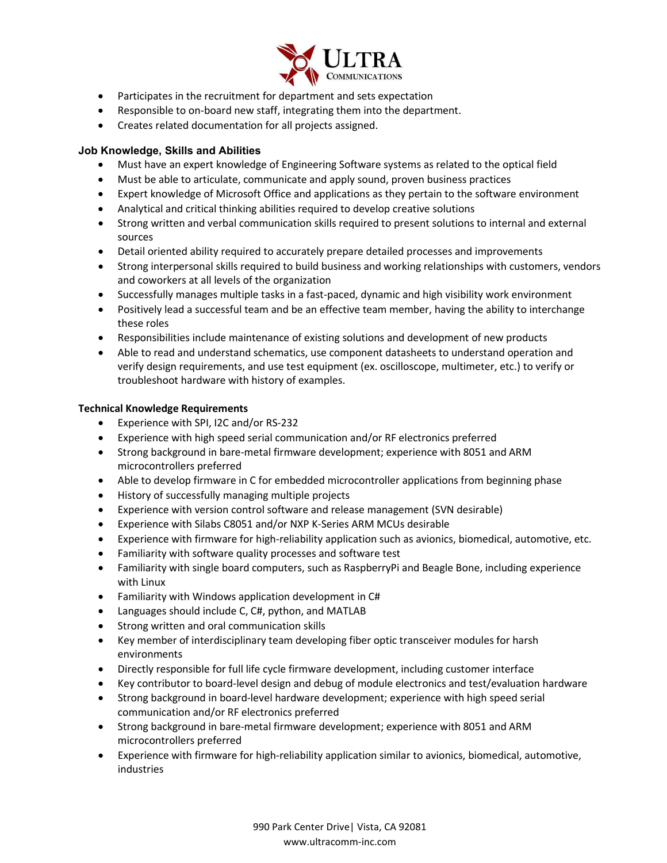

- Participates in the recruitment for department and sets expectation
- Responsible to on-board new staff, integrating them into the department.
- Creates related documentation for all projects assigned.

## **Job Knowledge, Skills and Abilities**

- Must have an expert knowledge of Engineering Software systems as related to the optical field
- Must be able to articulate, communicate and apply sound, proven business practices
- Expert knowledge of Microsoft Office and applications as they pertain to the software environment
- Analytical and critical thinking abilities required to develop creative solutions
- Strong written and verbal communication skills required to present solutions to internal and external sources
- Detail oriented ability required to accurately prepare detailed processes and improvements
- Strong interpersonal skills required to build business and working relationships with customers, vendors and coworkers at all levels of the organization
- Successfully manages multiple tasks in a fast-paced, dynamic and high visibility work environment
- Positively lead a successful team and be an effective team member, having the ability to interchange these roles
- Responsibilities include maintenance of existing solutions and development of new products
- Able to read and understand schematics, use component datasheets to understand operation and verify design requirements, and use test equipment (ex. oscilloscope, multimeter, etc.) to verify or troubleshoot hardware with history of examples.

## **Technical Knowledge Requirements**

- Experience with SPI, I2C and/or RS-232
- Experience with high speed serial communication and/or RF electronics preferred
- Strong background in bare-metal firmware development; experience with 8051 and ARM microcontrollers preferred
- Able to develop firmware in C for embedded microcontroller applications from beginning phase
- History of successfully managing multiple projects
- Experience with version control software and release management (SVN desirable)
- Experience with Silabs C8051 and/or NXP K-Series ARM MCUs desirable
- Experience with firmware for high-reliability application such as avionics, biomedical, automotive, etc.
- Familiarity with software quality processes and software test
- Familiarity with single board computers, such as RaspberryPi and Beagle Bone, including experience with Linux
- Familiarity with Windows application development in C#
- Languages should include C, C#, python, and MATLAB
- Strong written and oral communication skills
- Key member of interdisciplinary team developing fiber optic transceiver modules for harsh environments
- Directly responsible for full life cycle firmware development, including customer interface
- Key contributor to board-level design and debug of module electronics and test/evaluation hardware
- Strong background in board-level hardware development; experience with high speed serial communication and/or RF electronics preferred
- Strong background in bare-metal firmware development; experience with 8051 and ARM microcontrollers preferred
- Experience with firmware for high-reliability application similar to avionics, biomedical, automotive, industries

990 Park Center Drive| Vista, CA 92081 www.ultracomm-inc.com